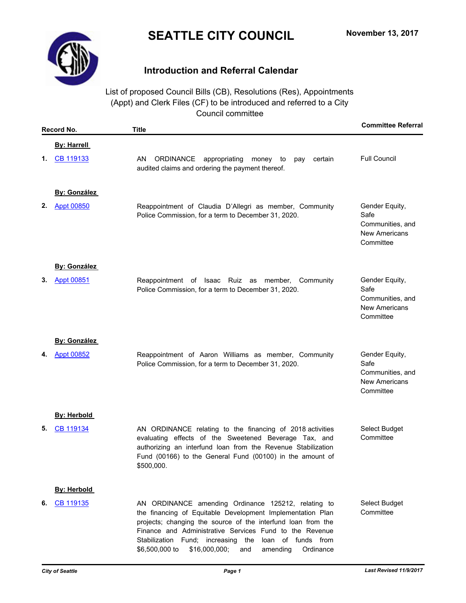## **SEATTLE CITY COUNCIL**



## **Introduction and Referral Calendar**

List of proposed Council Bills (CB), Resolutions (Res), Appointments (Appt) and Clerk Files (CF) to be introduced and referred to a City Council committee

|    | Record No.          | <b>Title</b>                                                                                                                                                                                                                                                                                                                                                                | <b>Committee Referral</b>                                                       |
|----|---------------------|-----------------------------------------------------------------------------------------------------------------------------------------------------------------------------------------------------------------------------------------------------------------------------------------------------------------------------------------------------------------------------|---------------------------------------------------------------------------------|
|    | <b>By: Harrell</b>  |                                                                                                                                                                                                                                                                                                                                                                             |                                                                                 |
| 1. | CB 119133           | AN.<br>ORDINANCE<br>appropriating money<br>certain<br>to<br>pay<br>audited claims and ordering the payment thereof.                                                                                                                                                                                                                                                         | <b>Full Council</b>                                                             |
|    | <b>By: González</b> |                                                                                                                                                                                                                                                                                                                                                                             |                                                                                 |
| 2. | <b>Appt 00850</b>   | Reappointment of Claudia D'Allegri as member, Community<br>Police Commission, for a term to December 31, 2020.                                                                                                                                                                                                                                                              | Gender Equity,<br>Safe<br>Communities, and<br><b>New Americans</b><br>Committee |
|    | <b>By: González</b> |                                                                                                                                                                                                                                                                                                                                                                             |                                                                                 |
| 3. | <b>Appt 00851</b>   | Reappointment of Isaac Ruiz as member, Community<br>Police Commission, for a term to December 31, 2020.                                                                                                                                                                                                                                                                     | Gender Equity,<br>Safe<br>Communities, and<br><b>New Americans</b><br>Committee |
|    | <b>By: González</b> |                                                                                                                                                                                                                                                                                                                                                                             |                                                                                 |
| 4. | <b>Appt 00852</b>   | Reappointment of Aaron Williams as member, Community<br>Police Commission, for a term to December 31, 2020.                                                                                                                                                                                                                                                                 | Gender Equity,<br>Safe<br>Communities, and<br><b>New Americans</b><br>Committee |
|    | <b>By: Herbold</b>  |                                                                                                                                                                                                                                                                                                                                                                             |                                                                                 |
| 5. | CB 119134           | AN ORDINANCE relating to the financing of 2018 activities<br>evaluating effects of the Sweetened Beverage Tax, and<br>authorizing an interfund loan from the Revenue Stabilization<br>Fund (00166) to the General Fund (00100) in the amount of<br>\$500,000.                                                                                                               | Select Budget<br>Committee                                                      |
|    | <b>By: Herbold</b>  |                                                                                                                                                                                                                                                                                                                                                                             |                                                                                 |
| 6. | CB 119135           | AN ORDINANCE amending Ordinance 125212, relating to<br>the financing of Equitable Development Implementation Plan<br>projects; changing the source of the interfund loan from the<br>Finance and Administrative Services Fund to the Revenue<br>Stabilization Fund; increasing the<br>loan of funds from<br>\$6,500,000 to<br>\$16,000,000;<br>and<br>amending<br>Ordinance | Select Budget<br>Committee                                                      |